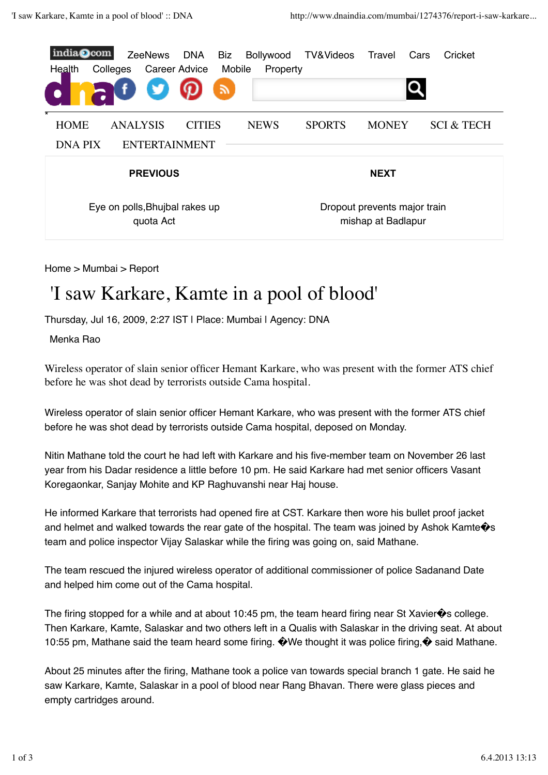

Home > Mumbai > Report

## 'I saw Karkare, Kamte in a pool of blood'

Thursday, Jul 16, 2009, 2:27 IST | Place: Mumbai | Agency: DNA

Menka Rao

Wireless operator of slain senior officer Hemant Karkare, who was present with the former ATS chief before he was shot dead by terrorists outside Cama hospital.

Wireless operator of slain senior officer Hemant Karkare, who was present with the former ATS chief before he was shot dead by terrorists outside Cama hospital, deposed on Monday.

Nitin Mathane told the court he had left with Karkare and his five-member team on November 26 last year from his Dadar residence a little before 10 pm. He said Karkare had met senior officers Vasant Koregaonkar, Sanjay Mohite and KP Raghuvanshi near Haj house.

He informed Karkare that terrorists had opened fire at CST. Karkare then wore his bullet proof jacket and helmet and walked towards the rear gate of the hospital. The team was joined by Ashok Kamte $\hat{\mathbf{\Phi}}$ s team and police inspector Vijay Salaskar while the firing was going on, said Mathane.

The team rescued the injured wireless operator of additional commissioner of police Sadanand Date and helped him come out of the Cama hospital.

The firing stopped for a while and at about 10:45 pm, the team heard firing near St Xavier $\hat{\mathbf{\diamond}}$ s college. Then Karkare, Kamte, Salaskar and two others left in a Qualis with Salaskar in the driving seat. At about 10:55 pm, Mathane said the team heard some firing. �We thought it was police firing,� said Mathane.

About 25 minutes after the firing, Mathane took a police van towards special branch 1 gate. He said he saw Karkare, Kamte, Salaskar in a pool of blood near Rang Bhavan. There were glass pieces and empty cartridges around.